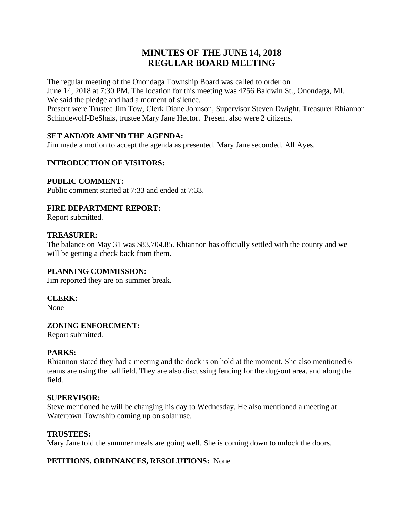# **MINUTES OF THE JUNE 14, 2018 REGULAR BOARD MEETING**

The regular meeting of the Onondaga Township Board was called to order on June 14, 2018 at 7:30 PM. The location for this meeting was 4756 Baldwin St., Onondaga, MI. We said the pledge and had a moment of silence.

Present were Trustee Jim Tow, Clerk Diane Johnson, Supervisor Steven Dwight, Treasurer Rhiannon Schindewolf-DeShais, trustee Mary Jane Hector. Present also were 2 citizens.

# **SET AND/OR AMEND THE AGENDA:**

Jim made a motion to accept the agenda as presented. Mary Jane seconded. All Ayes.

# **INTRODUCTION OF VISITORS:**

### **PUBLIC COMMENT:**

Public comment started at 7:33 and ended at 7:33.

### **FIRE DEPARTMENT REPORT:**

Report submitted.

### **TREASURER:**

The balance on May 31 was \$83,704.85. Rhiannon has officially settled with the county and we will be getting a check back from them.

### **PLANNING COMMISSION:**

Jim reported they are on summer break.

### **CLERK:**

None

### **ZONING ENFORCMENT:**

Report submitted.

### **PARKS:**

Rhiannon stated they had a meeting and the dock is on hold at the moment. She also mentioned 6 teams are using the ballfield. They are also discussing fencing for the dug-out area, and along the field.

#### **SUPERVISOR:**

Steve mentioned he will be changing his day to Wednesday. He also mentioned a meeting at Watertown Township coming up on solar use.

### **TRUSTEES:**

Mary Jane told the summer meals are going well. She is coming down to unlock the doors.

### **PETITIONS, ORDINANCES, RESOLUTIONS:** None